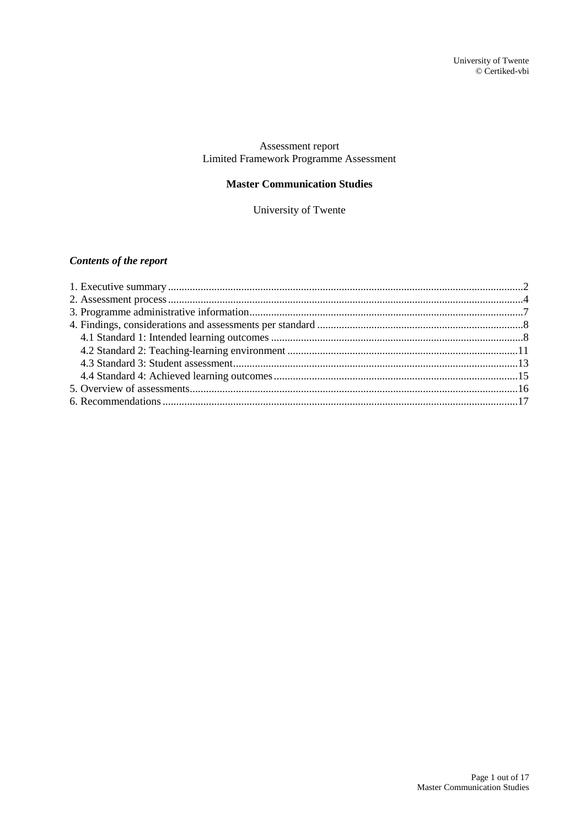## Assessment report Limited Framework Programme Assessment

## **Master Communication Studies**

University of Twente

## *Contents of the report*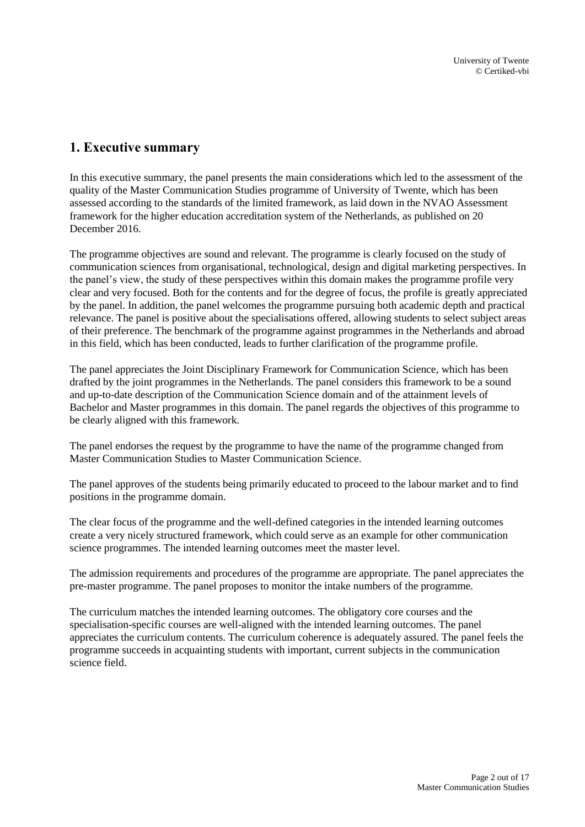## <span id="page-1-0"></span>**1. Executive summary**

In this executive summary, the panel presents the main considerations which led to the assessment of the quality of the Master Communication Studies programme of University of Twente, which has been assessed according to the standards of the limited framework, as laid down in the NVAO Assessment framework for the higher education accreditation system of the Netherlands, as published on 20 December 2016.

The programme objectives are sound and relevant. The programme is clearly focused on the study of communication sciences from organisational, technological, design and digital marketing perspectives. In the panel's view, the study of these perspectives within this domain makes the programme profile very clear and very focused. Both for the contents and for the degree of focus, the profile is greatly appreciated by the panel. In addition, the panel welcomes the programme pursuing both academic depth and practical relevance. The panel is positive about the specialisations offered, allowing students to select subject areas of their preference. The benchmark of the programme against programmes in the Netherlands and abroad in this field, which has been conducted, leads to further clarification of the programme profile.

The panel appreciates the Joint Disciplinary Framework for Communication Science, which has been drafted by the joint programmes in the Netherlands. The panel considers this framework to be a sound and up-to-date description of the Communication Science domain and of the attainment levels of Bachelor and Master programmes in this domain. The panel regards the objectives of this programme to be clearly aligned with this framework.

The panel endorses the request by the programme to have the name of the programme changed from Master Communication Studies to Master Communication Science.

The panel approves of the students being primarily educated to proceed to the labour market and to find positions in the programme domain.

The clear focus of the programme and the well-defined categories in the intended learning outcomes create a very nicely structured framework, which could serve as an example for other communication science programmes. The intended learning outcomes meet the master level.

The admission requirements and procedures of the programme are appropriate. The panel appreciates the pre-master programme. The panel proposes to monitor the intake numbers of the programme.

The curriculum matches the intended learning outcomes. The obligatory core courses and the specialisation-specific courses are well-aligned with the intended learning outcomes. The panel appreciates the curriculum contents. The curriculum coherence is adequately assured. The panel feels the programme succeeds in acquainting students with important, current subjects in the communication science field.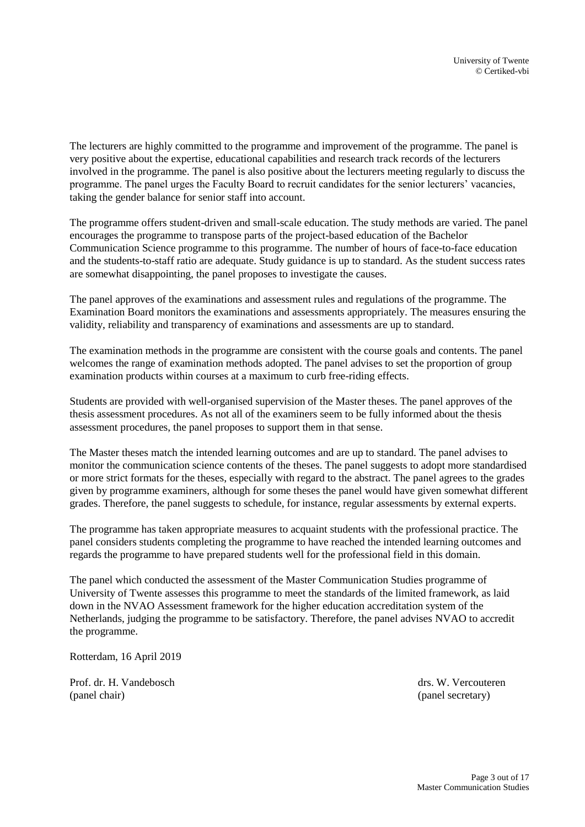The lecturers are highly committed to the programme and improvement of the programme. The panel is very positive about the expertise, educational capabilities and research track records of the lecturers involved in the programme. The panel is also positive about the lecturers meeting regularly to discuss the programme. The panel urges the Faculty Board to recruit candidates for the senior lecturers' vacancies, taking the gender balance for senior staff into account.

The programme offers student-driven and small-scale education. The study methods are varied. The panel encourages the programme to transpose parts of the project-based education of the Bachelor Communication Science programme to this programme. The number of hours of face-to-face education and the students-to-staff ratio are adequate. Study guidance is up to standard. As the student success rates are somewhat disappointing, the panel proposes to investigate the causes.

The panel approves of the examinations and assessment rules and regulations of the programme. The Examination Board monitors the examinations and assessments appropriately. The measures ensuring the validity, reliability and transparency of examinations and assessments are up to standard.

The examination methods in the programme are consistent with the course goals and contents. The panel welcomes the range of examination methods adopted. The panel advises to set the proportion of group examination products within courses at a maximum to curb free-riding effects.

Students are provided with well-organised supervision of the Master theses. The panel approves of the thesis assessment procedures. As not all of the examiners seem to be fully informed about the thesis assessment procedures, the panel proposes to support them in that sense.

The Master theses match the intended learning outcomes and are up to standard. The panel advises to monitor the communication science contents of the theses. The panel suggests to adopt more standardised or more strict formats for the theses, especially with regard to the abstract. The panel agrees to the grades given by programme examiners, although for some theses the panel would have given somewhat different grades. Therefore, the panel suggests to schedule, for instance, regular assessments by external experts.

The programme has taken appropriate measures to acquaint students with the professional practice. The panel considers students completing the programme to have reached the intended learning outcomes and regards the programme to have prepared students well for the professional field in this domain.

The panel which conducted the assessment of the Master Communication Studies programme of University of Twente assesses this programme to meet the standards of the limited framework, as laid down in the NVAO Assessment framework for the higher education accreditation system of the Netherlands, judging the programme to be satisfactory. Therefore, the panel advises NVAO to accredit the programme.

Rotterdam, 16 April 2019

Prof. dr. H. Vandebosch drs. W. Vercouteren (panel chair) (panel secretary)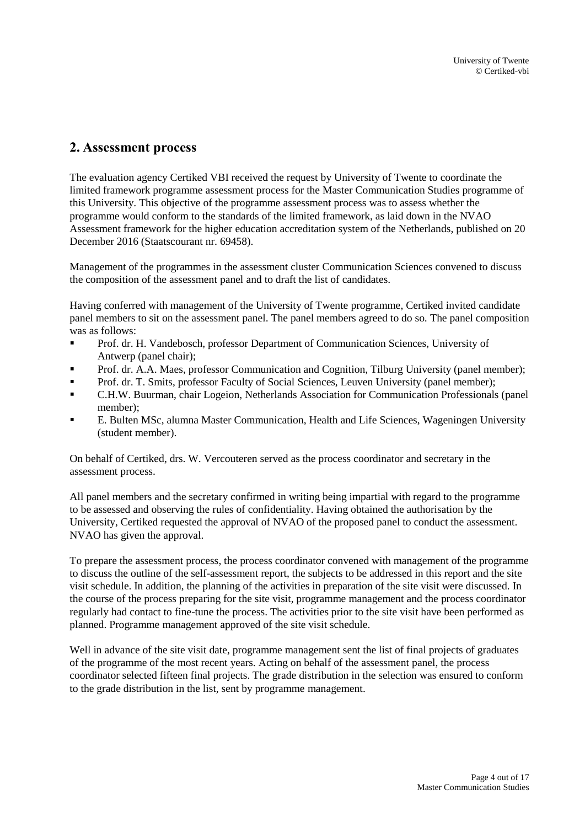## <span id="page-3-0"></span>**2. Assessment process**

The evaluation agency Certiked VBI received the request by University of Twente to coordinate the limited framework programme assessment process for the Master Communication Studies programme of this University. This objective of the programme assessment process was to assess whether the programme would conform to the standards of the limited framework, as laid down in the NVAO Assessment framework for the higher education accreditation system of the Netherlands, published on 20 December 2016 (Staatscourant nr. 69458).

Management of the programmes in the assessment cluster Communication Sciences convened to discuss the composition of the assessment panel and to draft the list of candidates.

Having conferred with management of the University of Twente programme, Certiked invited candidate panel members to sit on the assessment panel. The panel members agreed to do so. The panel composition was as follows:

- Prof. dr. H. Vandebosch, professor Department of Communication Sciences, University of Antwerp (panel chair);
- **•** Prof. dr. A.A. Maes, professor Communication and Cognition, Tilburg University (panel member);
- **Prof. dr. T. Smits, professor Faculty of Social Sciences, Leuven University (panel member);**
- C.H.W. Buurman, chair Logeion, Netherlands Association for Communication Professionals (panel member);
- E. Bulten MSc, alumna Master Communication, Health and Life Sciences, Wageningen University (student member).

On behalf of Certiked, drs. W. Vercouteren served as the process coordinator and secretary in the assessment process.

All panel members and the secretary confirmed in writing being impartial with regard to the programme to be assessed and observing the rules of confidentiality. Having obtained the authorisation by the University, Certiked requested the approval of NVAO of the proposed panel to conduct the assessment. NVAO has given the approval.

To prepare the assessment process, the process coordinator convened with management of the programme to discuss the outline of the self-assessment report, the subjects to be addressed in this report and the site visit schedule. In addition, the planning of the activities in preparation of the site visit were discussed. In the course of the process preparing for the site visit, programme management and the process coordinator regularly had contact to fine-tune the process. The activities prior to the site visit have been performed as planned. Programme management approved of the site visit schedule.

Well in advance of the site visit date, programme management sent the list of final projects of graduates of the programme of the most recent years. Acting on behalf of the assessment panel, the process coordinator selected fifteen final projects. The grade distribution in the selection was ensured to conform to the grade distribution in the list, sent by programme management.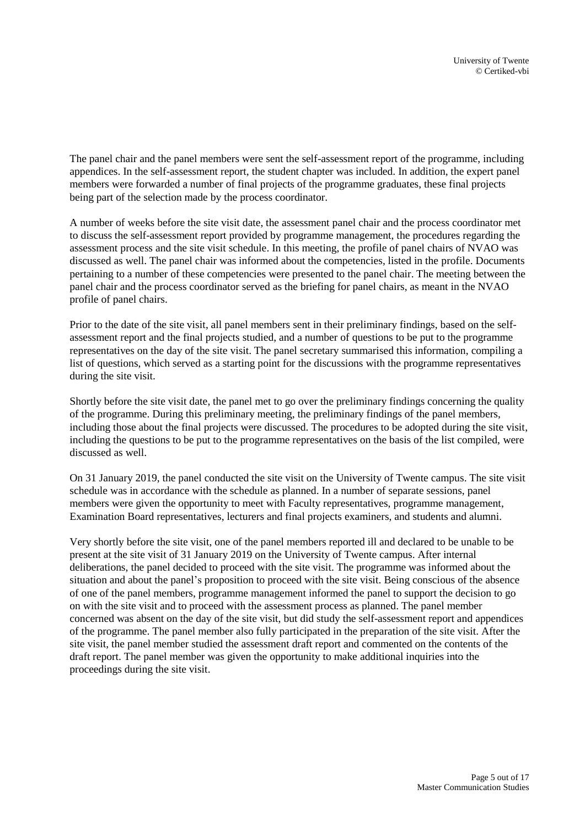The panel chair and the panel members were sent the self-assessment report of the programme, including appendices. In the self-assessment report, the student chapter was included. In addition, the expert panel members were forwarded a number of final projects of the programme graduates, these final projects being part of the selection made by the process coordinator.

A number of weeks before the site visit date, the assessment panel chair and the process coordinator met to discuss the self-assessment report provided by programme management, the procedures regarding the assessment process and the site visit schedule. In this meeting, the profile of panel chairs of NVAO was discussed as well. The panel chair was informed about the competencies, listed in the profile. Documents pertaining to a number of these competencies were presented to the panel chair. The meeting between the panel chair and the process coordinator served as the briefing for panel chairs, as meant in the NVAO profile of panel chairs.

Prior to the date of the site visit, all panel members sent in their preliminary findings, based on the selfassessment report and the final projects studied, and a number of questions to be put to the programme representatives on the day of the site visit. The panel secretary summarised this information, compiling a list of questions, which served as a starting point for the discussions with the programme representatives during the site visit.

Shortly before the site visit date, the panel met to go over the preliminary findings concerning the quality of the programme. During this preliminary meeting, the preliminary findings of the panel members, including those about the final projects were discussed. The procedures to be adopted during the site visit, including the questions to be put to the programme representatives on the basis of the list compiled, were discussed as well.

On 31 January 2019, the panel conducted the site visit on the University of Twente campus. The site visit schedule was in accordance with the schedule as planned. In a number of separate sessions, panel members were given the opportunity to meet with Faculty representatives, programme management, Examination Board representatives, lecturers and final projects examiners, and students and alumni.

Very shortly before the site visit, one of the panel members reported ill and declared to be unable to be present at the site visit of 31 January 2019 on the University of Twente campus. After internal deliberations, the panel decided to proceed with the site visit. The programme was informed about the situation and about the panel's proposition to proceed with the site visit. Being conscious of the absence of one of the panel members, programme management informed the panel to support the decision to go on with the site visit and to proceed with the assessment process as planned. The panel member concerned was absent on the day of the site visit, but did study the self-assessment report and appendices of the programme. The panel member also fully participated in the preparation of the site visit. After the site visit, the panel member studied the assessment draft report and commented on the contents of the draft report. The panel member was given the opportunity to make additional inquiries into the proceedings during the site visit.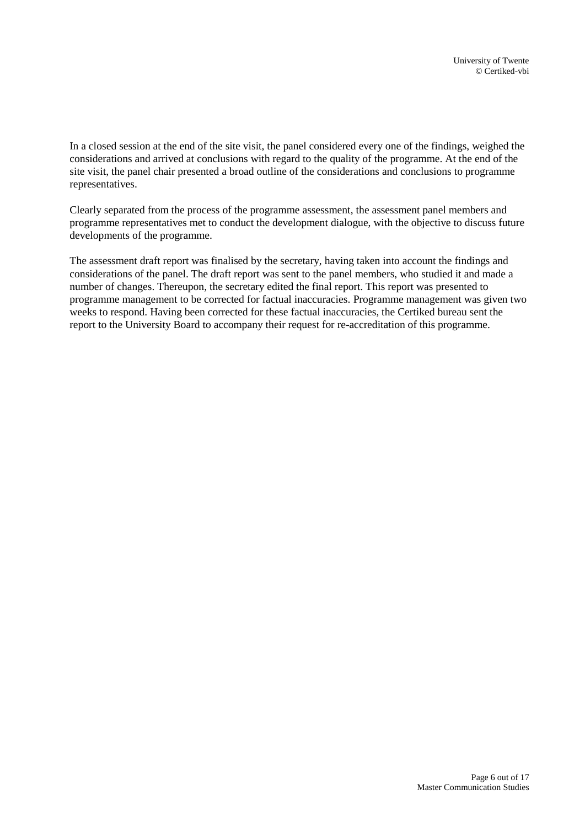In a closed session at the end of the site visit, the panel considered every one of the findings, weighed the considerations and arrived at conclusions with regard to the quality of the programme. At the end of the site visit, the panel chair presented a broad outline of the considerations and conclusions to programme representatives.

Clearly separated from the process of the programme assessment, the assessment panel members and programme representatives met to conduct the development dialogue, with the objective to discuss future developments of the programme.

The assessment draft report was finalised by the secretary, having taken into account the findings and considerations of the panel. The draft report was sent to the panel members, who studied it and made a number of changes. Thereupon, the secretary edited the final report. This report was presented to programme management to be corrected for factual inaccuracies. Programme management was given two weeks to respond. Having been corrected for these factual inaccuracies, the Certiked bureau sent the report to the University Board to accompany their request for re-accreditation of this programme.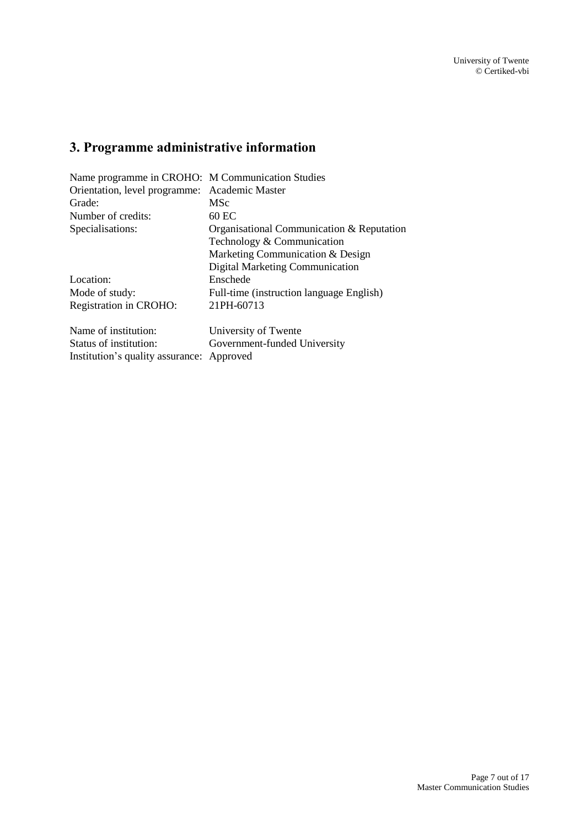# <span id="page-6-0"></span>**3. Programme administrative information**

| Name programme in CROHO: M Communication Studies |                                           |  |
|--------------------------------------------------|-------------------------------------------|--|
| Orientation, level programme:                    | Academic Master                           |  |
| Grade:                                           | <b>MSc</b>                                |  |
| Number of credits:                               | 60 EC                                     |  |
| Specialisations:                                 | Organisational Communication & Reputation |  |
|                                                  | Technology & Communication                |  |
|                                                  | Marketing Communication & Design          |  |
|                                                  | Digital Marketing Communication           |  |
| Location:                                        | Enschede                                  |  |
| Mode of study:                                   | Full-time (instruction language English)  |  |
| Registration in CROHO:                           | 21PH-60713                                |  |
| Name of institution:                             | University of Twente                      |  |
| Status of institution:                           | Government-funded University              |  |
| Institution's quality assurance:                 | Approved                                  |  |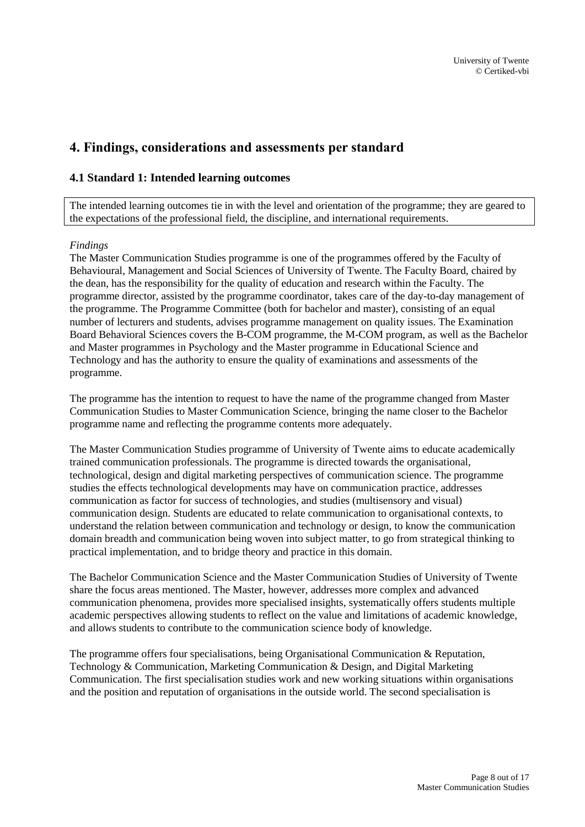## <span id="page-7-0"></span>**4. Findings, considerations and assessments per standard**

## <span id="page-7-1"></span>**4.1 Standard 1: Intended learning outcomes**

The intended learning outcomes tie in with the level and orientation of the programme; they are geared to the expectations of the professional field, the discipline, and international requirements.

### *Findings*

The Master Communication Studies programme is one of the programmes offered by the Faculty of Behavioural, Management and Social Sciences of University of Twente. The Faculty Board, chaired by the dean, has the responsibility for the quality of education and research within the Faculty. The programme director, assisted by the programme coordinator, takes care of the day-to-day management of the programme. The Programme Committee (both for bachelor and master), consisting of an equal number of lecturers and students, advises programme management on quality issues. The Examination Board Behavioral Sciences covers the B-COM programme, the M-COM program, as well as the Bachelor and Master programmes in Psychology and the Master programme in Educational Science and Technology and has the authority to ensure the quality of examinations and assessments of the programme.

The programme has the intention to request to have the name of the programme changed from Master Communication Studies to Master Communication Science, bringing the name closer to the Bachelor programme name and reflecting the programme contents more adequately.

The Master Communication Studies programme of University of Twente aims to educate academically trained communication professionals. The programme is directed towards the organisational, technological, design and digital marketing perspectives of communication science. The programme studies the effects technological developments may have on communication practice, addresses communication as factor for success of technologies, and studies (multisensory and visual) communication design. Students are educated to relate communication to organisational contexts, to understand the relation between communication and technology or design, to know the communication domain breadth and communication being woven into subject matter, to go from strategical thinking to practical implementation, and to bridge theory and practice in this domain.

The Bachelor Communication Science and the Master Communication Studies of University of Twente share the focus areas mentioned. The Master, however, addresses more complex and advanced communication phenomena, provides more specialised insights, systematically offers students multiple academic perspectives allowing students to reflect on the value and limitations of academic knowledge, and allows students to contribute to the communication science body of knowledge.

The programme offers four specialisations, being Organisational Communication & Reputation, Technology & Communication, Marketing Communication & Design, and Digital Marketing Communication. The first specialisation studies work and new working situations within organisations and the position and reputation of organisations in the outside world. The second specialisation is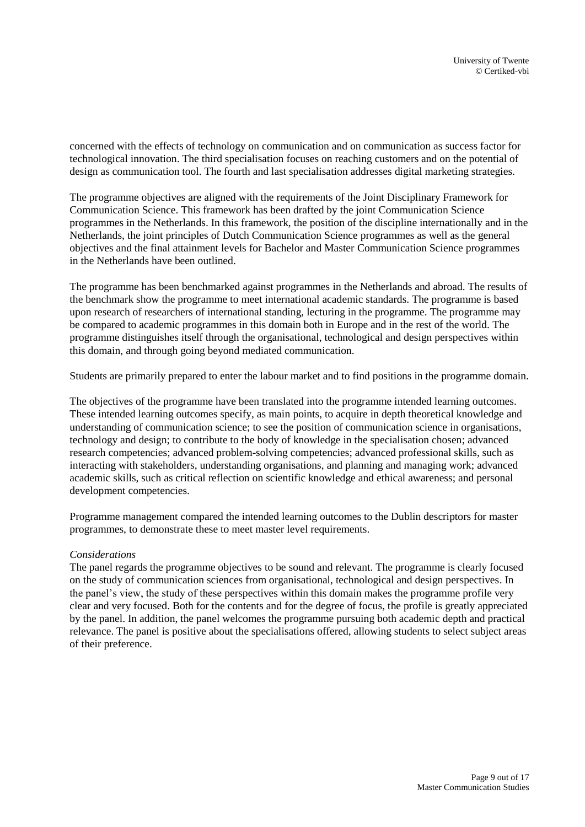concerned with the effects of technology on communication and on communication as success factor for technological innovation. The third specialisation focuses on reaching customers and on the potential of design as communication tool. The fourth and last specialisation addresses digital marketing strategies.

The programme objectives are aligned with the requirements of the Joint Disciplinary Framework for Communication Science. This framework has been drafted by the joint Communication Science programmes in the Netherlands. In this framework, the position of the discipline internationally and in the Netherlands, the joint principles of Dutch Communication Science programmes as well as the general objectives and the final attainment levels for Bachelor and Master Communication Science programmes in the Netherlands have been outlined.

The programme has been benchmarked against programmes in the Netherlands and abroad. The results of the benchmark show the programme to meet international academic standards. The programme is based upon research of researchers of international standing, lecturing in the programme. The programme may be compared to academic programmes in this domain both in Europe and in the rest of the world. The programme distinguishes itself through the organisational, technological and design perspectives within this domain, and through going beyond mediated communication.

Students are primarily prepared to enter the labour market and to find positions in the programme domain.

The objectives of the programme have been translated into the programme intended learning outcomes. These intended learning outcomes specify, as main points, to acquire in depth theoretical knowledge and understanding of communication science; to see the position of communication science in organisations, technology and design; to contribute to the body of knowledge in the specialisation chosen; advanced research competencies; advanced problem-solving competencies; advanced professional skills, such as interacting with stakeholders, understanding organisations, and planning and managing work; advanced academic skills, such as critical reflection on scientific knowledge and ethical awareness; and personal development competencies.

Programme management compared the intended learning outcomes to the Dublin descriptors for master programmes, to demonstrate these to meet master level requirements.

#### *Considerations*

The panel regards the programme objectives to be sound and relevant. The programme is clearly focused on the study of communication sciences from organisational, technological and design perspectives. In the panel's view, the study of these perspectives within this domain makes the programme profile very clear and very focused. Both for the contents and for the degree of focus, the profile is greatly appreciated by the panel. In addition, the panel welcomes the programme pursuing both academic depth and practical relevance. The panel is positive about the specialisations offered, allowing students to select subject areas of their preference.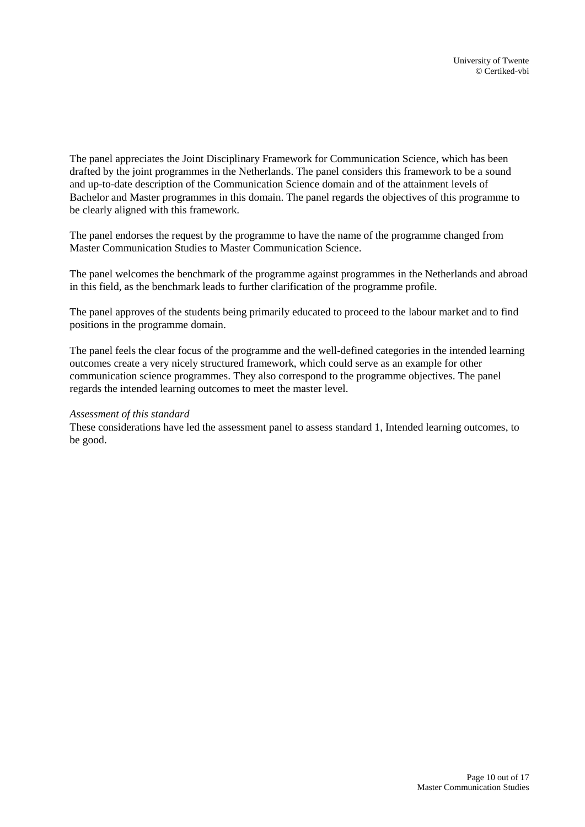The panel appreciates the Joint Disciplinary Framework for Communication Science, which has been drafted by the joint programmes in the Netherlands. The panel considers this framework to be a sound and up-to-date description of the Communication Science domain and of the attainment levels of Bachelor and Master programmes in this domain. The panel regards the objectives of this programme to be clearly aligned with this framework.

The panel endorses the request by the programme to have the name of the programme changed from Master Communication Studies to Master Communication Science.

The panel welcomes the benchmark of the programme against programmes in the Netherlands and abroad in this field, as the benchmark leads to further clarification of the programme profile.

The panel approves of the students being primarily educated to proceed to the labour market and to find positions in the programme domain.

The panel feels the clear focus of the programme and the well-defined categories in the intended learning outcomes create a very nicely structured framework, which could serve as an example for other communication science programmes. They also correspond to the programme objectives. The panel regards the intended learning outcomes to meet the master level.

#### *Assessment of this standard*

<span id="page-9-0"></span>These considerations have led the assessment panel to assess standard 1, Intended learning outcomes, to be good.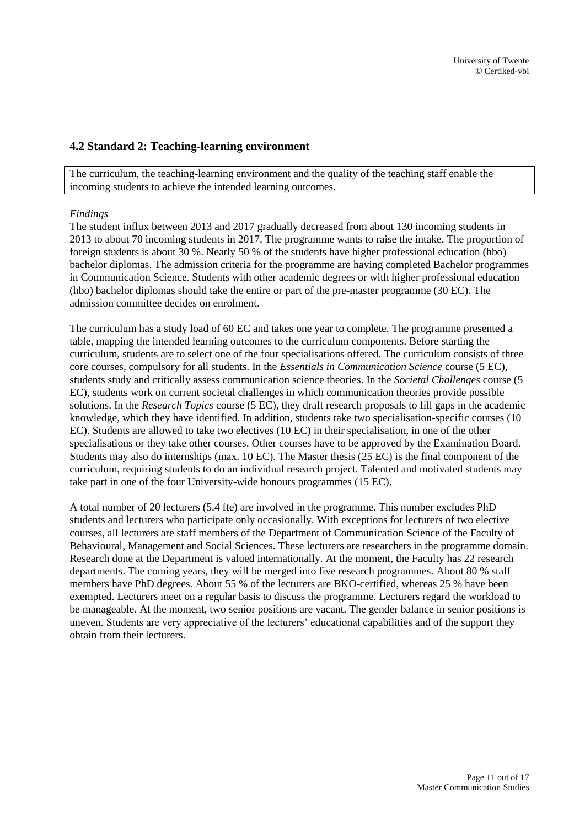### **4.2 Standard 2: Teaching-learning environment**

The curriculum, the teaching-learning environment and the quality of the teaching staff enable the incoming students to achieve the intended learning outcomes.

#### *Findings*

The student influx between 2013 and 2017 gradually decreased from about 130 incoming students in 2013 to about 70 incoming students in 2017. The programme wants to raise the intake. The proportion of foreign students is about 30 %. Nearly 50 % of the students have higher professional education (hbo) bachelor diplomas. The admission criteria for the programme are having completed Bachelor programmes in Communication Science. Students with other academic degrees or with higher professional education (hbo) bachelor diplomas should take the entire or part of the pre-master programme (30 EC). The admission committee decides on enrolment.

The curriculum has a study load of 60 EC and takes one year to complete. The programme presented a table, mapping the intended learning outcomes to the curriculum components. Before starting the curriculum, students are to select one of the four specialisations offered. The curriculum consists of three core courses, compulsory for all students. In the *Essentials in Communication Science* course (5 EC), students study and critically assess communication science theories. In the *Societal Challenges* course (5 EC), students work on current societal challenges in which communication theories provide possible solutions. In the *Research Topics* course (5 EC), they draft research proposals to fill gaps in the academic knowledge, which they have identified. In addition, students take two specialisation-specific courses (10 EC). Students are allowed to take two electives (10 EC) in their specialisation, in one of the other specialisations or they take other courses. Other courses have to be approved by the Examination Board. Students may also do internships (max. 10 EC). The Master thesis (25 EC) is the final component of the curriculum, requiring students to do an individual research project. Talented and motivated students may take part in one of the four University-wide honours programmes (15 EC).

A total number of 20 lecturers (5.4 fte) are involved in the programme. This number excludes PhD students and lecturers who participate only occasionally. With exceptions for lecturers of two elective courses, all lecturers are staff members of the Department of Communication Science of the Faculty of Behavioural, Management and Social Sciences. These lecturers are researchers in the programme domain. Research done at the Department is valued internationally. At the moment, the Faculty has 22 research departments. The coming years, they will be merged into five research programmes. About 80 % staff members have PhD degrees. About 55 % of the lecturers are BKO-certified, whereas 25 % have been exempted. Lecturers meet on a regular basis to discuss the programme. Lecturers regard the workload to be manageable. At the moment, two senior positions are vacant. The gender balance in senior positions is uneven. Students are very appreciative of the lecturers' educational capabilities and of the support they obtain from their lecturers.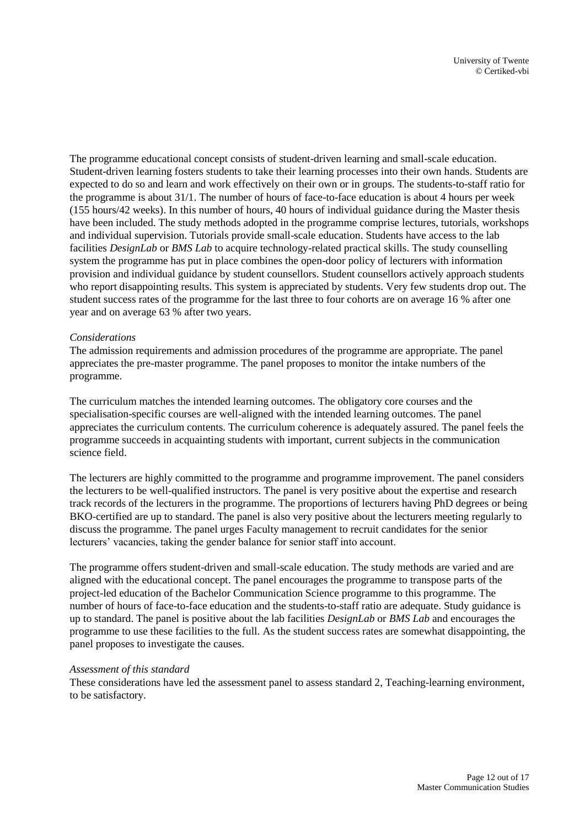The programme educational concept consists of student-driven learning and small-scale education. Student-driven learning fosters students to take their learning processes into their own hands. Students are expected to do so and learn and work effectively on their own or in groups. The students-to-staff ratio for the programme is about 31/1. The number of hours of face-to-face education is about 4 hours per week (155 hours/42 weeks). In this number of hours, 40 hours of individual guidance during the Master thesis have been included. The study methods adopted in the programme comprise lectures, tutorials, workshops and individual supervision. Tutorials provide small-scale education. Students have access to the lab facilities *DesignLab* or *BMS Lab* to acquire technology-related practical skills. The study counselling system the programme has put in place combines the open-door policy of lecturers with information provision and individual guidance by student counsellors. Student counsellors actively approach students who report disappointing results. This system is appreciated by students. Very few students drop out. The student success rates of the programme for the last three to four cohorts are on average 16 % after one year and on average 63 % after two years.

#### *Considerations*

The admission requirements and admission procedures of the programme are appropriate. The panel appreciates the pre-master programme. The panel proposes to monitor the intake numbers of the programme.

The curriculum matches the intended learning outcomes. The obligatory core courses and the specialisation-specific courses are well-aligned with the intended learning outcomes. The panel appreciates the curriculum contents. The curriculum coherence is adequately assured. The panel feels the programme succeeds in acquainting students with important, current subjects in the communication science field.

The lecturers are highly committed to the programme and programme improvement. The panel considers the lecturers to be well-qualified instructors. The panel is very positive about the expertise and research track records of the lecturers in the programme. The proportions of lecturers having PhD degrees or being BKO-certified are up to standard. The panel is also very positive about the lecturers meeting regularly to discuss the programme. The panel urges Faculty management to recruit candidates for the senior lecturers' vacancies, taking the gender balance for senior staff into account.

The programme offers student-driven and small-scale education. The study methods are varied and are aligned with the educational concept. The panel encourages the programme to transpose parts of the project-led education of the Bachelor Communication Science programme to this programme. The number of hours of face-to-face education and the students-to-staff ratio are adequate. Study guidance is up to standard. The panel is positive about the lab facilities *DesignLab* or *BMS Lab* and encourages the programme to use these facilities to the full. As the student success rates are somewhat disappointing, the panel proposes to investigate the causes.

#### *Assessment of this standard*

These considerations have led the assessment panel to assess standard 2, Teaching-learning environment, to be satisfactory.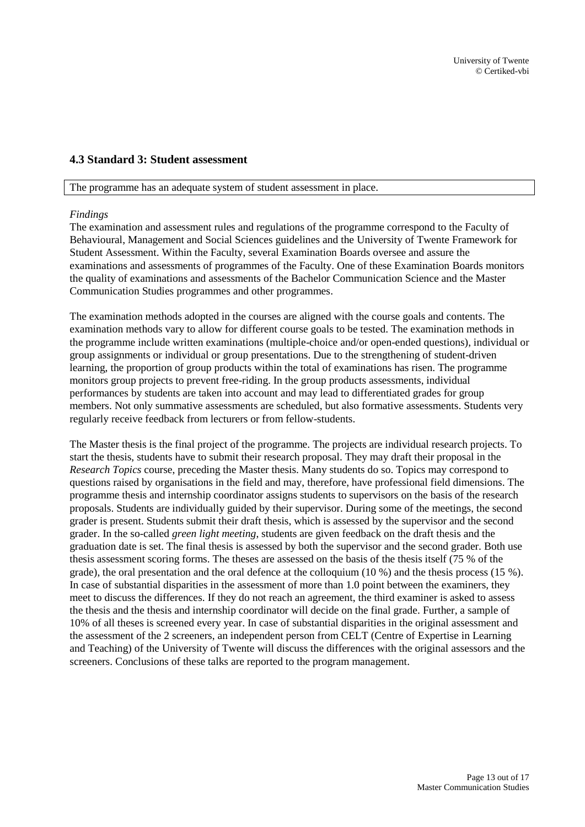## <span id="page-12-0"></span>**4.3 Standard 3: Student assessment**

The programme has an adequate system of student assessment in place.

#### *Findings*

The examination and assessment rules and regulations of the programme correspond to the Faculty of Behavioural, Management and Social Sciences guidelines and the University of Twente Framework for Student Assessment. Within the Faculty, several Examination Boards oversee and assure the examinations and assessments of programmes of the Faculty. One of these Examination Boards monitors the quality of examinations and assessments of the Bachelor Communication Science and the Master Communication Studies programmes and other programmes.

The examination methods adopted in the courses are aligned with the course goals and contents. The examination methods vary to allow for different course goals to be tested. The examination methods in the programme include written examinations (multiple-choice and/or open-ended questions), individual or group assignments or individual or group presentations. Due to the strengthening of student-driven learning, the proportion of group products within the total of examinations has risen. The programme monitors group projects to prevent free-riding. In the group products assessments, individual performances by students are taken into account and may lead to differentiated grades for group members. Not only summative assessments are scheduled, but also formative assessments. Students very regularly receive feedback from lecturers or from fellow-students.

The Master thesis is the final project of the programme. The projects are individual research projects. To start the thesis, students have to submit their research proposal. They may draft their proposal in the *Research Topics* course, preceding the Master thesis. Many students do so. Topics may correspond to questions raised by organisations in the field and may, therefore, have professional field dimensions. The programme thesis and internship coordinator assigns students to supervisors on the basis of the research proposals. Students are individually guided by their supervisor. During some of the meetings, the second grader is present. Students submit their draft thesis, which is assessed by the supervisor and the second grader. In the so-called *green light meeting*, students are given feedback on the draft thesis and the graduation date is set. The final thesis is assessed by both the supervisor and the second grader. Both use thesis assessment scoring forms. The theses are assessed on the basis of the thesis itself (75 % of the grade), the oral presentation and the oral defence at the colloquium (10 %) and the thesis process (15 %). In case of substantial disparities in the assessment of more than 1.0 point between the examiners, they meet to discuss the differences. If they do not reach an agreement, the third examiner is asked to assess the thesis and the thesis and internship coordinator will decide on the final grade. Further, a sample of 10% of all theses is screened every year. In case of substantial disparities in the original assessment and the assessment of the 2 screeners, an independent person from CELT (Centre of Expertise in Learning and Teaching) of the University of Twente will discuss the differences with the original assessors and the screeners. Conclusions of these talks are reported to the program management.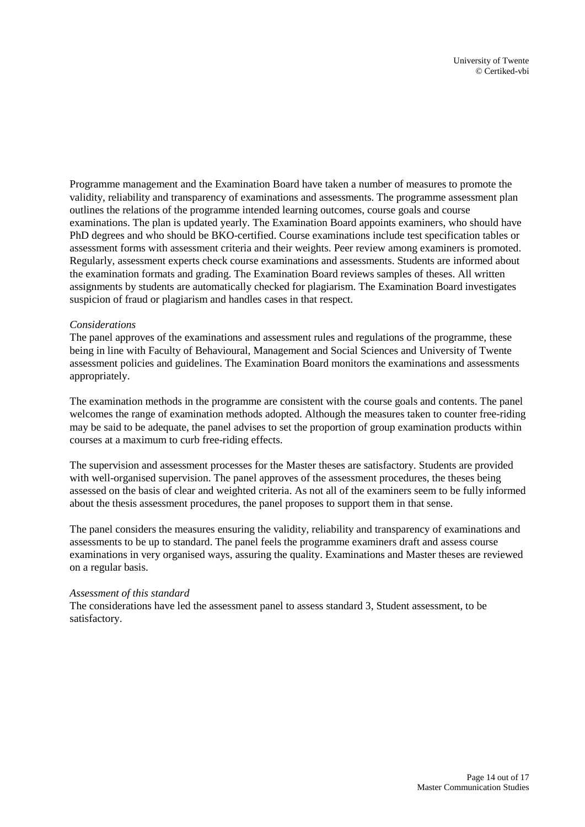Programme management and the Examination Board have taken a number of measures to promote the validity, reliability and transparency of examinations and assessments. The programme assessment plan outlines the relations of the programme intended learning outcomes, course goals and course examinations. The plan is updated yearly. The Examination Board appoints examiners, who should have PhD degrees and who should be BKO-certified. Course examinations include test specification tables or assessment forms with assessment criteria and their weights. Peer review among examiners is promoted. Regularly, assessment experts check course examinations and assessments. Students are informed about the examination formats and grading. The Examination Board reviews samples of theses. All written assignments by students are automatically checked for plagiarism. The Examination Board investigates suspicion of fraud or plagiarism and handles cases in that respect.

#### *Considerations*

The panel approves of the examinations and assessment rules and regulations of the programme, these being in line with Faculty of Behavioural, Management and Social Sciences and University of Twente assessment policies and guidelines. The Examination Board monitors the examinations and assessments appropriately.

The examination methods in the programme are consistent with the course goals and contents. The panel welcomes the range of examination methods adopted. Although the measures taken to counter free-riding may be said to be adequate, the panel advises to set the proportion of group examination products within courses at a maximum to curb free-riding effects.

The supervision and assessment processes for the Master theses are satisfactory. Students are provided with well-organised supervision. The panel approves of the assessment procedures, the theses being assessed on the basis of clear and weighted criteria. As not all of the examiners seem to be fully informed about the thesis assessment procedures, the panel proposes to support them in that sense.

The panel considers the measures ensuring the validity, reliability and transparency of examinations and assessments to be up to standard. The panel feels the programme examiners draft and assess course examinations in very organised ways, assuring the quality. Examinations and Master theses are reviewed on a regular basis.

#### *Assessment of this standard*

The considerations have led the assessment panel to assess standard 3, Student assessment, to be satisfactory.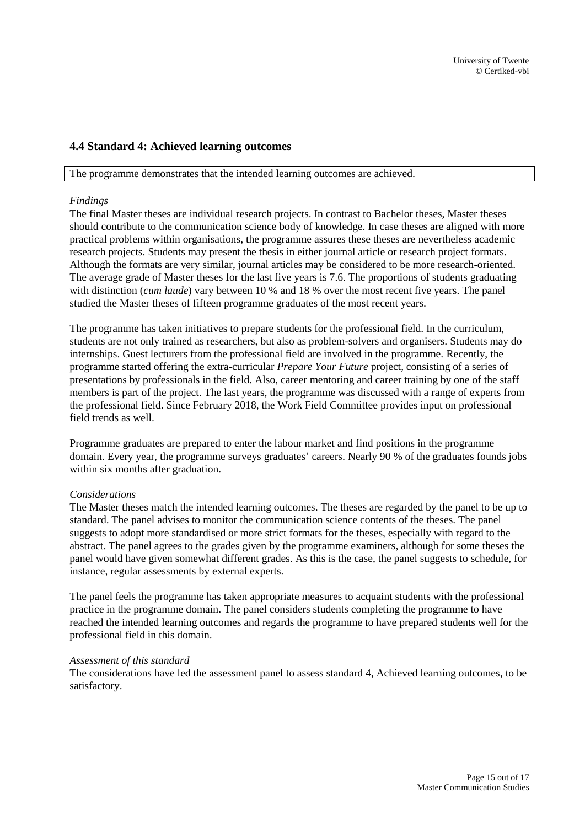## <span id="page-14-0"></span>**4.4 Standard 4: Achieved learning outcomes**

#### The programme demonstrates that the intended learning outcomes are achieved.

#### *Findings*

The final Master theses are individual research projects. In contrast to Bachelor theses, Master theses should contribute to the communication science body of knowledge. In case theses are aligned with more practical problems within organisations, the programme assures these theses are nevertheless academic research projects. Students may present the thesis in either journal article or research project formats. Although the formats are very similar, journal articles may be considered to be more research-oriented. The average grade of Master theses for the last five years is 7.6. The proportions of students graduating with distinction (*cum laude*) vary between 10 % and 18 % over the most recent five years. The panel studied the Master theses of fifteen programme graduates of the most recent years.

The programme has taken initiatives to prepare students for the professional field. In the curriculum, students are not only trained as researchers, but also as problem-solvers and organisers. Students may do internships. Guest lecturers from the professional field are involved in the programme. Recently, the programme started offering the extra-curricular *Prepare Your Future* project, consisting of a series of presentations by professionals in the field. Also, career mentoring and career training by one of the staff members is part of the project. The last years, the programme was discussed with a range of experts from the professional field. Since February 2018, the Work Field Committee provides input on professional field trends as well.

Programme graduates are prepared to enter the labour market and find positions in the programme domain. Every year, the programme surveys graduates' careers. Nearly 90 % of the graduates founds jobs within six months after graduation.

#### *Considerations*

The Master theses match the intended learning outcomes. The theses are regarded by the panel to be up to standard. The panel advises to monitor the communication science contents of the theses. The panel suggests to adopt more standardised or more strict formats for the theses, especially with regard to the abstract. The panel agrees to the grades given by the programme examiners, although for some theses the panel would have given somewhat different grades. As this is the case, the panel suggests to schedule, for instance, regular assessments by external experts.

The panel feels the programme has taken appropriate measures to acquaint students with the professional practice in the programme domain. The panel considers students completing the programme to have reached the intended learning outcomes and regards the programme to have prepared students well for the professional field in this domain.

#### *Assessment of this standard*

The considerations have led the assessment panel to assess standard 4, Achieved learning outcomes, to be satisfactory.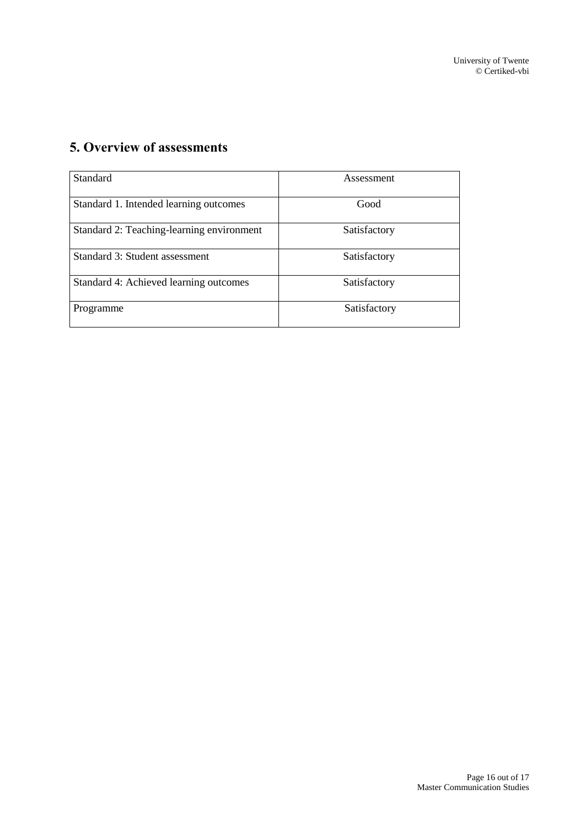# <span id="page-15-0"></span>**5. Overview of assessments**

| Standard                                  | Assessment   |
|-------------------------------------------|--------------|
| Standard 1. Intended learning outcomes    | Good         |
| Standard 2: Teaching-learning environment | Satisfactory |
| Standard 3: Student assessment            | Satisfactory |
| Standard 4: Achieved learning outcomes    | Satisfactory |
| Programme                                 | Satisfactory |